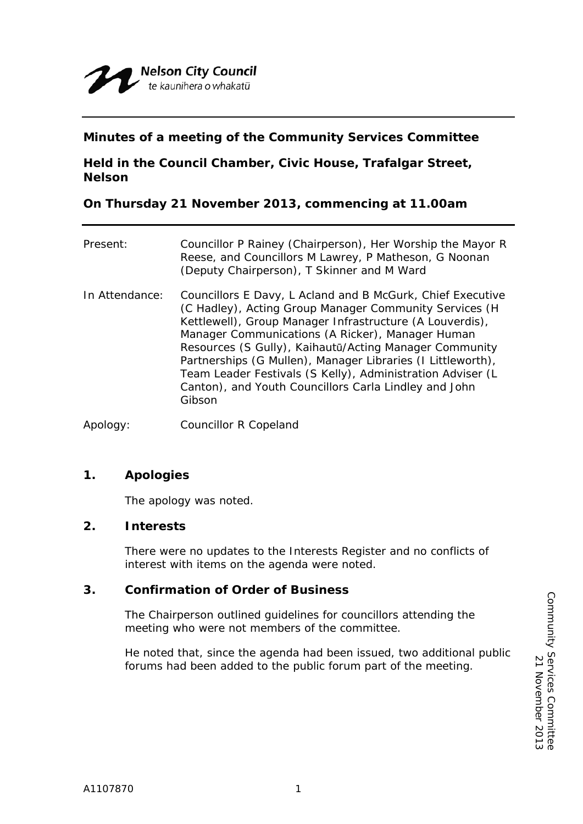

## **Minutes of a meeting of the Community Services Committee**

**Held in the Council Chamber, Civic House, Trafalgar Street, Nelson** 

**On Thursday 21 November 2013, commencing at 11.00am** 

| Present:       | Councillor P Rainey (Chairperson), Her Worship the Mayor R<br>Reese, and Councillors M Lawrey, P Matheson, G Noonan<br>(Deputy Chairperson), T Skinner and M Ward                                                                                                                                                                                                                                                                                                                              |
|----------------|------------------------------------------------------------------------------------------------------------------------------------------------------------------------------------------------------------------------------------------------------------------------------------------------------------------------------------------------------------------------------------------------------------------------------------------------------------------------------------------------|
| In Attendance: | Councillors E Davy, L Acland and B McGurk, Chief Executive<br>(C Hadley), Acting Group Manager Community Services (H<br>Kettlewell), Group Manager Infrastructure (A Louverdis),<br>Manager Communications (A Ricker), Manager Human<br>Resources (S Gully), Kaihautū/Acting Manager Community<br>Partnerships (G Mullen), Manager Libraries (I Littleworth),<br>Team Leader Festivals (S Kelly), Administration Adviser (L<br>Canton), and Youth Councillors Carla Lindley and John<br>Gibson |

Apology: Councillor R Copeland

# **1. Apologies**

The apology was noted.

### **2. Interests**

There were no updates to the Interests Register and no conflicts of interest with items on the agenda were noted.

### **3. Confirmation of Order of Business**

The Chairperson outlined guidelines for councillors attending the meeting who were not members of the committee.

He noted that, since the agenda had been issued, two additional public forums had been added to the public forum part of the meeting.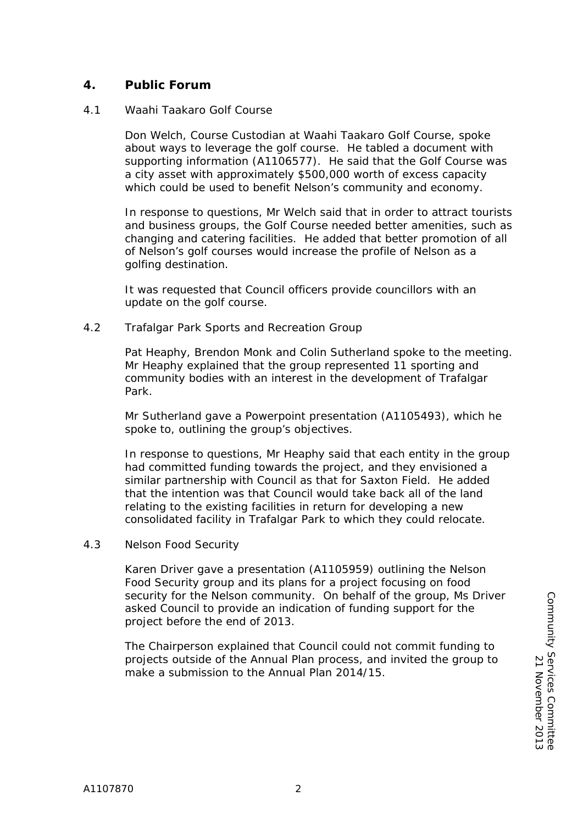# **4. Public Forum**

#### 4.1 Waahi Taakaro Golf Course

Don Welch, Course Custodian at Waahi Taakaro Golf Course, spoke about ways to leverage the golf course. He tabled a document with supporting information (A1106577). He said that the Golf Course was a city asset with approximately \$500,000 worth of excess capacity which could be used to benefit Nelson's community and economy.

In response to questions, Mr Welch said that in order to attract tourists and business groups, the Golf Course needed better amenities, such as changing and catering facilities. He added that better promotion of all of Nelson's golf courses would increase the profile of Nelson as a golfing destination.

It was requested that Council officers provide councillors with an update on the golf course.

4.2 Trafalgar Park Sports and Recreation Group

Pat Heaphy, Brendon Monk and Colin Sutherland spoke to the meeting. Mr Heaphy explained that the group represented 11 sporting and community bodies with an interest in the development of Trafalgar Park.

Mr Sutherland gave a Powerpoint presentation (A1105493), which he spoke to, outlining the group's objectives.

In response to questions, Mr Heaphy said that each entity in the group had committed funding towards the project, and they envisioned a similar partnership with Council as that for Saxton Field. He added that the intention was that Council would take back all of the land relating to the existing facilities in return for developing a new consolidated facility in Trafalgar Park to which they could relocate.

4.3 Nelson Food Security

Karen Driver gave a presentation (A1105959) outlining the Nelson Food Security group and its plans for a project focusing on food security for the Nelson community. On behalf of the group, Ms Driver asked Council to provide an indication of funding support for the project before the end of 2013.

The Chairperson explained that Council could not commit funding to projects outside of the Annual Plan process, and invited the group to make a submission to the Annual Plan 2014/15.